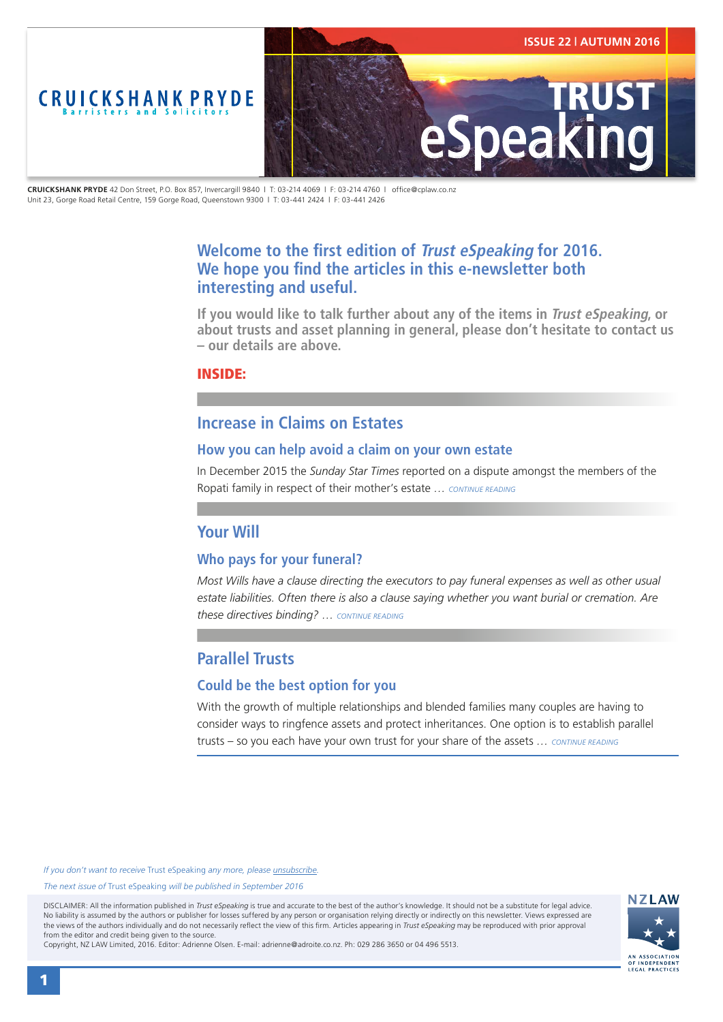<span id="page-0-0"></span>

**CRUICKSHANK PRYDE** 42 Don Street, P.O. Box 857, Invercargill 9840 | T: 03-214 4069 | F: 03-214 4760 | office@cplaw.co.nz Unit 23, Gorge Road Retail Centre, 159 Gorge Road, Queenstown 9300 | T: 03-441 2424 | F: 03-441 2426

# **Welcome to the first edition of Trust eSpeaking for 2016. We hope you find the articles in this e-newsletter both interesting and useful.**

**If you would like to talk further about any of the items in Trust eSpeaking, or about trusts and asset planning in general, please don't hesitate to contact us – our details are above.**

### INSIDE:

## **Increase in Claims on Estates**

### **How you can help avoid a claim on your own estate**

In December 2015 the *Sunday Star Times* reported on a dispute amongst the members of the Ropati family in respect of their mother's estate *… [CONTINUE READING](#page-1-0)*

### **Your Will**

### **Who pays for your funeral?**

*Most Wills have a clause directing the executors to pay funeral expenses as well as other usual estate liabilities. Often there is also a clause saying whether you want burial or cremation. Are these directives binding? … [CONTINUE READING](#page-2-0)*

# **Parallel Trusts**

### **Could be the best option for you**

With the growth of multiple relationships and blended families many couples are having to consider ways to ringfence assets and protect inheritances. One option is to establish parallel trusts – so you each have your own trust for your share of the assets *… [CONTINUE READING](#page-3-0)*

*If you don't want to receive* Trust eSpeaking *any more, please [unsubscribe.](mailto:adrienne@adroite.co.nz)*

#### *The next issue of* Trust eSpeaking *will be published in September 2016*

DISCLAIMER: All the information published in *Trust eSpeaking* is true and accurate to the best of the author's knowledge. It should not be a substitute for legal advice. No liability is assumed by the authors or publisher for losses suffered by any person or organisation relying directly or indirectly on this newsletter. Views expressed are the views of the authors individually and do not necessarily reflect the view of this firm. Articles appearing in *Trust eSpeaking* may be reproduced with prior approval from the editor and credit being given to the source.



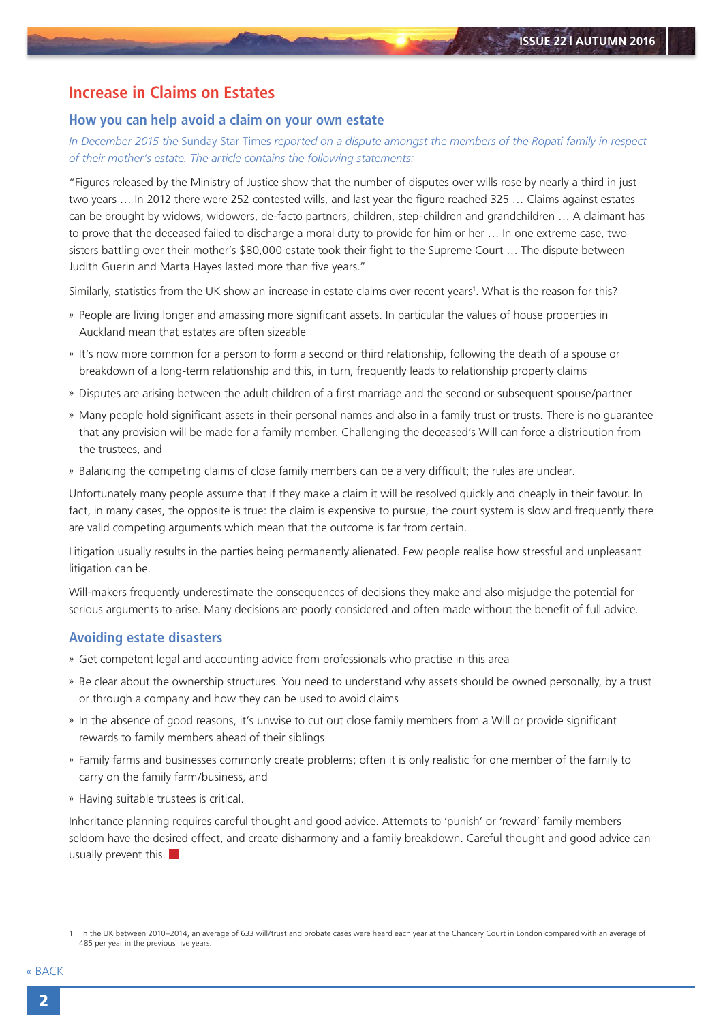## <span id="page-1-0"></span>**Increase in Claims on Estates**

#### **How you can help avoid a claim on your own estate**

*In December 2015 the* Sunday Star Times *reported on a dispute amongst the members of the Ropati family in respect of their mother's estate. The article contains the following statements:*

"Figures released by the Ministry of Justice show that the number of disputes over wills rose by nearly a third in just two years … In 2012 there were 252 contested wills, and last year the figure reached 325 … Claims against estates can be brought by widows, widowers, de-facto partners, children, step-children and grandchildren … A claimant has to prove that the deceased failed to discharge a moral duty to provide for him or her … In one extreme case, two sisters battling over their mother's \$80,000 estate took their fight to the Supreme Court … The dispute between Judith Guerin and Marta Hayes lasted more than five years."

Similarly, statistics from the UK show an increase in estate claims over recent years<sup>1</sup>. What is the reason for this?

- » People are living longer and amassing more significant assets. In particular the values of house properties in Auckland mean that estates are often sizeable
- » It's now more common for a person to form a second or third relationship, following the death of a spouse or breakdown of a long-term relationship and this, in turn, frequently leads to relationship property claims
- » Disputes are arising between the adult children of a first marriage and the second or subsequent spouse/partner
- » Many people hold significant assets in their personal names and also in a family trust or trusts. There is no guarantee that any provision will be made for a family member. Challenging the deceased's Will can force a distribution from the trustees, and
- » Balancing the competing claims of close family members can be a very difficult; the rules are unclear.

Unfortunately many people assume that if they make a claim it will be resolved quickly and cheaply in their favour. In fact, in many cases, the opposite is true: the claim is expensive to pursue, the court system is slow and frequently there are valid competing arguments which mean that the outcome is far from certain.

Litigation usually results in the parties being permanently alienated. Few people realise how stressful and unpleasant litigation can be.

Will-makers frequently underestimate the consequences of decisions they make and also misjudge the potential for serious arguments to arise. Many decisions are poorly considered and often made without the benefit of full advice.

#### **Avoiding estate disasters**

- » Get competent legal and accounting advice from professionals who practise in this area
- » Be clear about the ownership structures. You need to understand why assets should be owned personally, by a trust or through a company and how they can be used to avoid claims
- » In the absence of good reasons, it's unwise to cut out close family members from a Will or provide significant rewards to family members ahead of their siblings
- » Family farms and businesses commonly create problems; often it is only realistic for one member of the family to carry on the family farm/business, and
- » Having suitable trustees is critical.

Inheritance planning requires careful thought and good advice. Attempts to 'punish' or 'reward' family members seldom have the desired effect, and create disharmony and a family breakdown. Careful thought and good advice can usually prevent this.  $\blacksquare$ 

<sup>1</sup> In the UK between 2010–2014, an average of 633 will/trust and probate cases were heard each year at the Chancery Court in London compared with an average of 485 per year in the previous five years.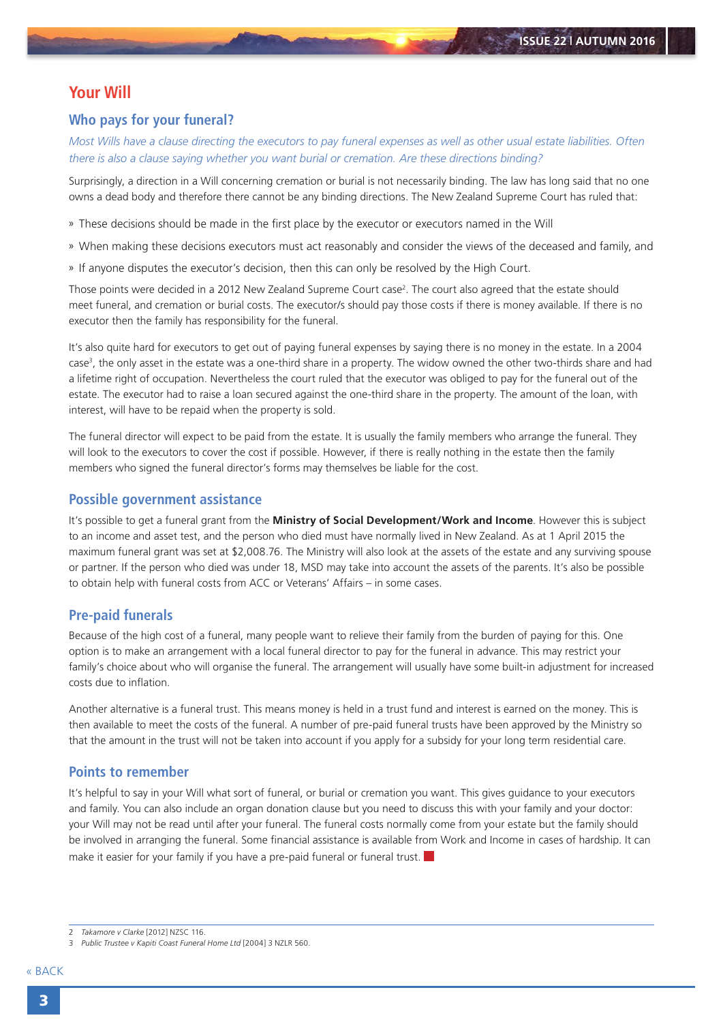# <span id="page-2-0"></span>**Your Will**

### **Who pays for your funeral?**

*Most Wills have a clause directing the executors to pay funeral expenses as well as other usual estate liabilities. Often there is also a clause saying whether you want burial or cremation. Are these directions binding?*

Surprisingly, a direction in a Will concerning cremation or burial is not necessarily binding. The law has long said that no one owns a dead body and therefore there cannot be any binding directions. The New Zealand Supreme Court has ruled that:

- » These decisions should be made in the first place by the executor or executors named in the Will
- » When making these decisions executors must act reasonably and consider the views of the deceased and family, and
- » If anyone disputes the executor's decision, then this can only be resolved by the High Court.

Those points were decided in a 2012 New Zealand Supreme Court case<sup>2</sup>. The court also agreed that the estate should meet funeral, and cremation or burial costs. The executor/s should pay those costs if there is money available. If there is no executor then the family has responsibility for the funeral.

It's also quite hard for executors to get out of paying funeral expenses by saying there is no money in the estate. In a 2004 case<sup>3</sup>, the only asset in the estate was a one-third share in a property. The widow owned the other two-thirds share and had a lifetime right of occupation. Nevertheless the court ruled that the executor was obliged to pay for the funeral out of the estate. The executor had to raise a loan secured against the one-third share in the property. The amount of the loan, with interest, will have to be repaid when the property is sold.

The funeral director will expect to be paid from the estate. It is usually the family members who arrange the funeral. They will look to the executors to cover the cost if possible. However, if there is really nothing in the estate then the family members who signed the funeral director's forms may themselves be liable for the cost.

### **Possible government assistance**

It's possible to get a funeral grant from the **[Ministry of Social Development/Work and Income](http://www.workandincome.govt.nz/individuals/a-z-benefits/funeral-grant.html)**. However this is subject to an income and asset test, and the person who died must have normally lived in New Zealand. As at 1 April 2015 the maximum funeral grant was set at \$2,008.76. The Ministry will also look at the assets of the estate and any surviving spouse or partner. If the person who died was under 18, MSD may take into account the assets of the parents. It's also be possible to obtain help with funeral costs from ACC or Veterans' Affairs – in some cases.

#### **Pre-paid funerals**

Because of the high cost of a funeral, many people want to relieve their family from the burden of paying for this. One option is to make an arrangement with a local funeral director to pay for the funeral in advance. This may restrict your family's choice about who will organise the funeral. The arrangement will usually have some built-in adjustment for increased costs due to inflation.

Another alternative is a funeral trust. This means money is held in a trust fund and interest is earned on the money. This is then available to meet the costs of the funeral. A number of pre-paid funeral trusts have been approved by the Ministry so that the amount in the trust will not be taken into account if you apply for a subsidy for your long term residential care.

### **Points to remember**

It's helpful to say in your Will what sort of funeral, or burial or cremation you want. This gives guidance to your executors and family. You can also include an organ donation clause but you need to discuss this with your family and your doctor: your Will may not be read until after your funeral. The funeral costs normally come from your estate but the family should be involved in arranging the funeral. Some financial assistance is available from Work and Income in cases of hardship. It can make it easier for your family if you have a pre-paid funeral or funeral trust.

<sup>2</sup> *Takamore v Clarke* [2012] NZSC 116.

<sup>3</sup> *Public Trustee v Kapiti Coast Funeral Home Ltd* [2004] 3 NZLR 560.